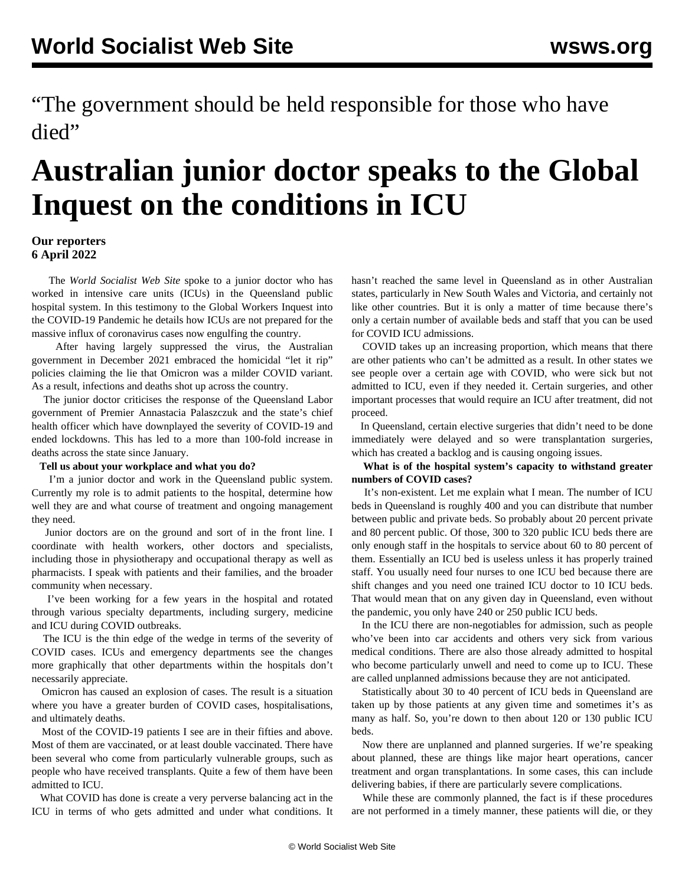"The government should be held responsible for those who have died"

# **Australian junior doctor speaks to the Global Inquest on the conditions in ICU**

### **Our reporters 6 April 2022**

 The *World Socialist Web Site* spoke to a junior doctor who has worked in intensive care units (ICUs) in the Queensland public hospital system. In this testimony to the Global Workers Inquest into the COVID-19 Pandemic he details how ICUs are not prepared for the massive influx of coronavirus cases now engulfing the country.

 After having largely suppressed the virus, the Australian government in December 2021 embraced the homicidal "let it rip" policies claiming the lie that Omicron was a milder COVID variant. As a result, infections and deaths shot up across the country.

 The junior doctor criticises the response of the Queensland Labor government of Premier Annastacia Palaszczuk and the state's chief health officer which have downplayed the severity of COVID-19 and ended lockdowns. This has led to a more than 100-fold increase in deaths across the state since January.

#### **Tell us about your workplace and what you do?**

 I'm a junior doctor and work in the Queensland public system. Currently my role is to admit patients to the hospital, determine how well they are and what course of treatment and ongoing management they need.

 Junior doctors are on the ground and sort of in the front line. I coordinate with health workers, other doctors and specialists, including those in physiotherapy and occupational therapy as well as pharmacists. I speak with patients and their families, and the broader community when necessary.

 I've been working for a few years in the hospital and rotated through various specialty departments, including surgery, medicine and ICU during COVID outbreaks.

 The ICU is the thin edge of the wedge in terms of the severity of COVID cases. ICUs and emergency departments see the changes more graphically that other departments within the hospitals don't necessarily appreciate.

 Omicron has caused an explosion of cases. The result is a situation where you have a greater burden of COVID cases, hospitalisations, and ultimately deaths.

 Most of the COVID-19 patients I see are in their fifties and above. Most of them are vaccinated, or at least double vaccinated. There have been several who come from particularly vulnerable groups, such as people who have received transplants. Quite a few of them have been admitted to ICU.

 What COVID has done is create a very perverse balancing act in the ICU in terms of who gets admitted and under what conditions. It

hasn't reached the same level in Queensland as in other Australian states, particularly in New South Wales and Victoria, and certainly not like other countries. But it is only a matter of time because there's only a certain number of available beds and staff that you can be used for COVID ICU admissions.

 COVID takes up an increasing proportion, which means that there are other patients who can't be admitted as a result. In other states we see people over a certain age with COVID, who were sick but not admitted to ICU, even if they needed it. Certain surgeries, and other important processes that would require an ICU after treatment, did not proceed.

 In Queensland, certain elective surgeries that didn't need to be done immediately were delayed and so were transplantation surgeries, which has created a backlog and is causing ongoing issues.

 **What is of the hospital system's capacity to withstand greater numbers of COVID cases?**

 It's non-existent. Let me explain what I mean. The number of ICU beds in Queensland is roughly 400 and you can distribute that number between public and private beds. So probably about 20 percent private and 80 percent public. Of those, 300 to 320 public ICU beds there are only enough staff in the hospitals to service about 60 to 80 percent of them. Essentially an ICU bed is useless unless it has properly trained staff. You usually need four nurses to one ICU bed because there are shift changes and you need one trained ICU doctor to 10 ICU beds. That would mean that on any given day in Queensland, even without the pandemic, you only have 240 or 250 public ICU beds.

 In the ICU there are non-negotiables for admission, such as people who've been into car accidents and others very sick from various medical conditions. There are also those already admitted to hospital who become particularly unwell and need to come up to ICU. These are called unplanned admissions because they are not anticipated.

 Statistically about 30 to 40 percent of ICU beds in Queensland are taken up by those patients at any given time and sometimes it's as many as half. So, you're down to then about 120 or 130 public ICU beds.

 Now there are unplanned and planned surgeries. If we're speaking about planned, these are things like major heart operations, cancer treatment and organ transplantations. In some cases, this can include delivering babies, if there are particularly severe complications.

 While these are commonly planned, the fact is if these procedures are not performed in a timely manner, these patients will die, or they